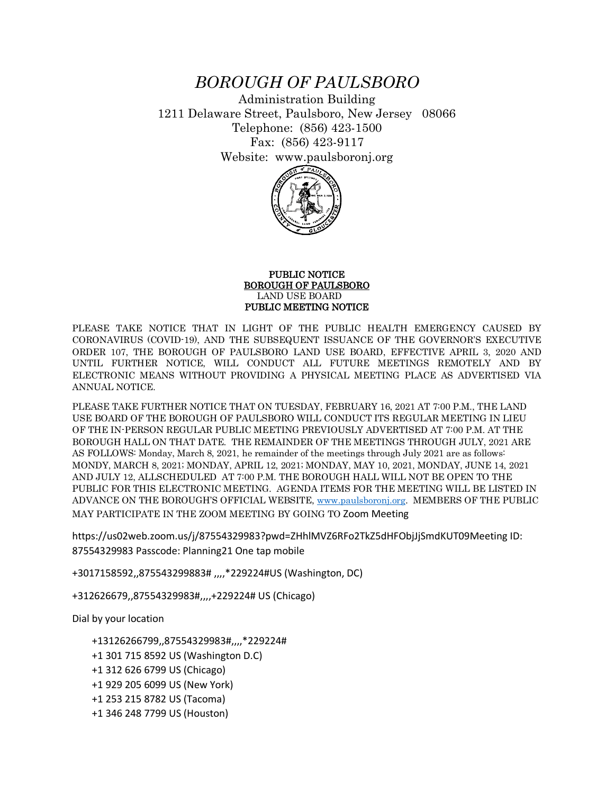## *BOROUGH OF PAULSBORO*

Administration Building 1211 Delaware Street, Paulsboro, New Jersey 08066 Telephone: (856) 423-1500 Fax: (856) 423-9117 Website: www.paulsboronj.org



## PUBLIC NOTICE BOROUGH OF PAULSBORO LAND USE BOARD PUBLIC MEETING NOTICE

PLEASE TAKE NOTICE THAT IN LIGHT OF THE PUBLIC HEALTH EMERGENCY CAUSED BY CORONAVIRUS (COVID-19), AND THE SUBSEQUENT ISSUANCE OF THE GOVERNOR'S EXECUTIVE ORDER 107, THE BOROUGH OF PAULSBORO LAND USE BOARD, EFFECTIVE APRIL 3, 2020 AND UNTIL FURTHER NOTICE, WILL CONDUCT ALL FUTURE MEETINGS REMOTELY AND BY ELECTRONIC MEANS WITHOUT PROVIDING A PHYSICAL MEETING PLACE AS ADVERTISED VIA ANNUAL NOTICE.

PLEASE TAKE FURTHER NOTICE THAT ON TUESDAY, FEBRUARY 16, 2021 AT 7:00 P.M., THE LAND USE BOARD OF THE BOROUGH OF PAULSBORO WILL CONDUCT ITS REGULAR MEETING IN LIEU OF THE IN-PERSON REGULAR PUBLIC MEETING PREVIOUSLY ADVERTISED AT 7:00 P.M. AT THE BOROUGH HALL ON THAT DATE. THE REMAINDER OF THE MEETINGS THROUGH JULY, 2021 ARE AS FOLLOWS: Monday, March 8, 2021, he remainder of the meetings through July 2021 are as follows: MONDY, MARCH 8, 2021; MONDAY, APRIL 12, 2021; MONDAY, MAY 10, 2021, MONDAY, JUNE 14, 2021 AND JULY 12, ALLSCHEDULED AT 7:00 P.M. THE BOROUGH HALL WILL NOT BE OPEN TO THE PUBLIC FOR THIS ELECTRONIC MEETING. AGENDA ITEMS FOR THE MEETING WILL BE LISTED IN ADVANCE ON THE BOROUGH'S OFFICIAL WEBSITE, [www.paulsboronj.org.](http://www.paulsboronj.org/) MEMBERS OF THE PUBLIC MAY PARTICIPATE IN THE ZOOM MEETING BY GOING TO Zoom Meeting

https://us02web.zoom.us/j/87554329983?pwd=ZHhlMVZ6RFo2TkZ5dHFObjJjSmdKUT09Meeting ID: 87554329983 Passcode: Planning21 One tap mobile

+3017158592,,875543299883# ,,,,\*229224#US (Washington, DC)

+312626679,,87554329983#,,,,+229224# US (Chicago)

Dial by your location

+13126266799,,87554329983#,,,,\*229224#

- +1 301 715 8592 US (Washington D.C)
- +1 312 626 6799 US (Chicago)
- +1 929 205 6099 US (New York)
- +1 253 215 8782 US (Tacoma)
- +1 346 248 7799 US (Houston)